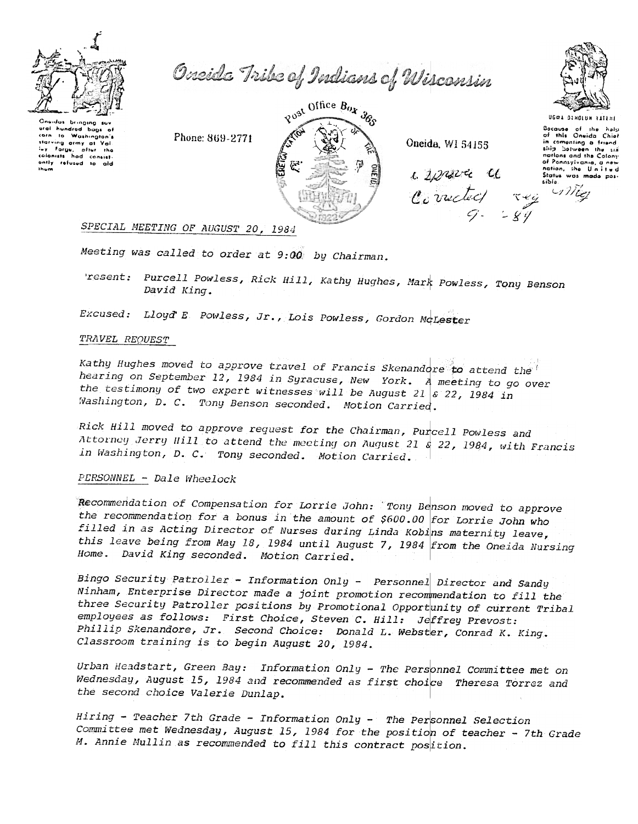

Oneida Tribe of Indians of Wisconsin

Chaidas bringing suv<br>ural hundred bags of corn to Washington's starving army at Val starring on<br>luy Forgu, aftur the<br>colonists had consist<br>found to ald ofter the antly refused to aid ihum

Phone: 869-2771



Oneida, WI 54155



UGOA DINOLUM TATENE Bacause of the halp<br>of this Oneida Chief in comenting a friend.

nations and the Colony

of Ponnsylvania, a new

nation, the United<br>Status was made pos-

 $L$  space  $C$ Corneted rue

CIMEZ

eibla.

# SPECIAL MEETING OF AUGUST 20, 1984

Meeting was called to order at 9:00 by Chairman.

'resent: Purcell Powless, Rick Hill, Kathy Hughes, Mark Powless, Tony Benson David King.

Excused: Lloyd E Powless, Jr., Lois Powless, Gordon McLester

### TRAVEL REQUEST

Kathy Hughes moved to approve travel of Francis Skenandore to attend the hearing on September 12, 1984 in Syracuse, New York. A meeting to go over the testimony of two expert witnesses will be August 21  $s$  22, 1984 in Washington, D. C. Tony Benson seconded. Motion Carried.

Rick Hill moved to approve request for the Chairman, Purcell Powless and Attorney Jerry Hill to attend the meeting on August 21  $\frac{1}{8}$  22, 1984, with Francis in Washington, D. C. Tony seconded. Motion Carried.

# PERSONNEL - Dale Wheelock

Recommendation of Compensation for Lorrie John: Tony Benson moved to approve the recommendation for a bonus in the amount of \$600.00 for Lorrie John who filled in as Acting Director of Nurses during Linda Kobins maternity leave, this leave being from May 18, 1984 until August 7, 1984 from the Oneida Nursing Home. David King seconded. Motion Carried.

Bingo Security Patroller - Information Only - Personnel Director and Sandy Ninham, Enterprise Director made a joint promotion recommendation to fill the three Security Patroller positions by Promotional Opportunity of current Tribal employees as follows: First Choice, Steven C. Hill: Jeffrey Prevost: Phillip Skenandore, Jr. Second Choice: Donald L. Webster, Conrad K. King. Classroom training is to begin August 20, 1984.

Urban Headstart, Green Bay: Information Only - The Personnel Committee met on Wednesday, August 15, 1984 and recommended as first choice Theresa Torrez and the second choice Valerie Dunlap.

Hiring - Teacher 7th Grade - Information Only - The Personnel Selection Committee met Wednesday, August 15, 1984 for the position of teacher - 7th Grade M. Annie Mullin as recommended to fill this contract position.